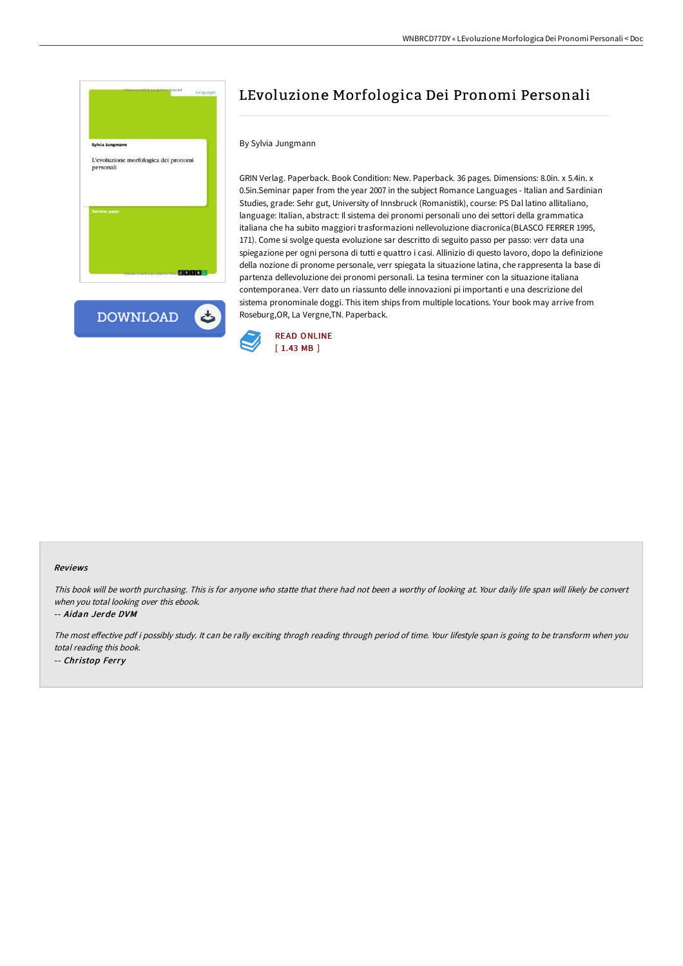



# LEvoluzione Morfologica Dei Pronomi Personali

# By Sylvia Jungmann

GRIN Verlag. Paperback. Book Condition: New. Paperback. 36 pages. Dimensions: 8.0in. x 5.4in. x 0.5in.Seminar paper from the year 2007 in the subject Romance Languages - Italian and Sardinian Studies, grade: Sehr gut, University of Innsbruck (Romanistik), course: PS Dal latino allitaliano, language: Italian, abstract: Il sistema dei pronomi personali uno dei settori della grammatica italiana che ha subito maggiori trasformazioni nellevoluzione diacronica(BLASCO FERRER 1995, 171). Come si svolge questa evoluzione sar descritto di seguito passo per passo: verr data una spiegazione per ogni persona di tutti e quattro i casi. Allinizio di questo lavoro, dopo la definizione della nozione di pronome personale, verr spiegata la situazione latina, che rappresenta la base di partenza dellevoluzione dei pronomi personali. La tesina terminer con la situazione italiana contemporanea. Verr dato un riassunto delle innovazioni pi importanti e una descrizione del sistema pronominale doggi. This item ships from multiple locations. Your book may arrive from Roseburg,OR, La Vergne,TN. Paperback.



#### Reviews

This book will be worth purchasing. This is for anyone who statte that there had not been <sup>a</sup> worthy of looking at. Your daily life span will likely be convert when you total looking over this ebook.

-- Aidan Jerde DVM

The most effective pdf i possibly study. It can be rally exciting throgh reading through period of time. Your lifestyle span is going to be transform when you total reading this book. -- Christop Ferry